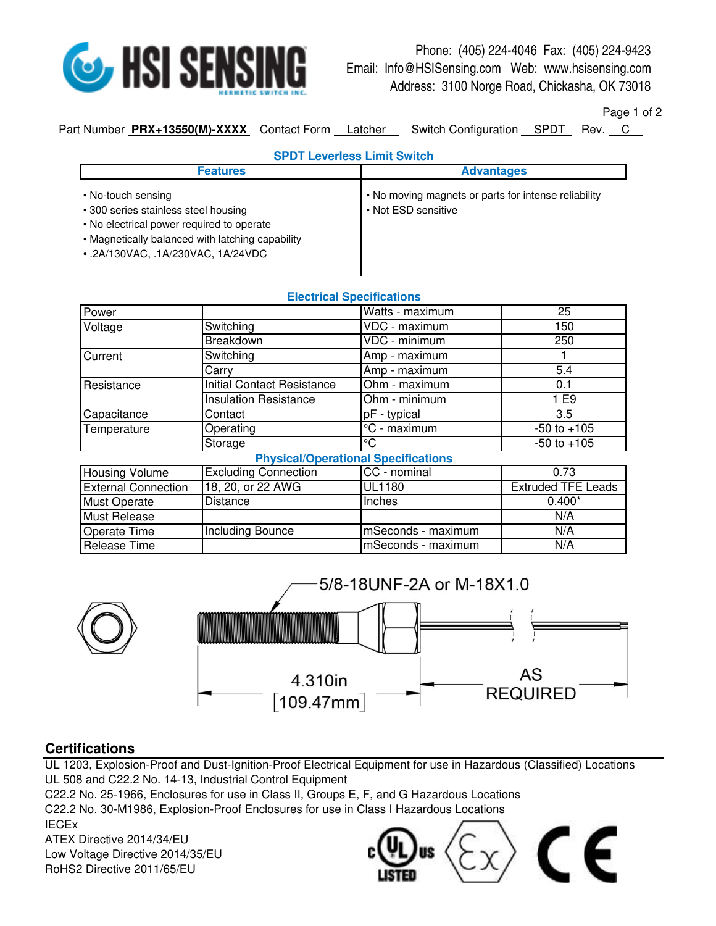

## Phone: (405) 224-4046 Fax: (405) 224-9423 Email: Info@HSISensing.com Web: www.hsisensing.com Address: 3100 Norge Road, Chickasha, OK 73018

Page 1 of 2

Part Number **PRX+13550(M)-XXXX** Contact Form Latcher Switch Configuration SPDT Rev. C

| <b>SPDT Leverless Limit Switch</b>                                                                                                                                                                |                                                                             |  |
|---------------------------------------------------------------------------------------------------------------------------------------------------------------------------------------------------|-----------------------------------------------------------------------------|--|
| <b>Features</b>                                                                                                                                                                                   | <b>Advantages</b>                                                           |  |
| • No-touch sensing<br>• 300 series stainless steel housing<br>• No electrical power required to operate<br>• Magnetically balanced with latching capability<br>• .2A/130VAC, .1A/230VAC, 1A/24VDC | • No moving magnets or parts for intense reliability<br>• Not ESD sensitive |  |

**Electrical Specifications**

| EICULIUM OPCUIIUMIUIS                      |                                   |                    |                           |  |
|--------------------------------------------|-----------------------------------|--------------------|---------------------------|--|
| Power                                      |                                   | Watts - maximum    | 25                        |  |
| Voltage                                    | Switching                         | VDC - maximum      | 150                       |  |
|                                            | Breakdown                         | VDC - minimum      | 250                       |  |
| Current                                    | Switching                         | Amp - maximum      |                           |  |
|                                            | Carry                             | Amp - maximum      | 5.4                       |  |
| Resistance                                 | <b>Initial Contact Resistance</b> | Ohm - maximum      | 0.1                       |  |
|                                            | <b>Insulation Resistance</b>      | Ohm - minimum      | 1 E9                      |  |
| Capacitance                                | Contact                           | pF - typical       | 3.5                       |  |
| Temperature                                | Operating                         | °C - maximum       | $-50$ to $+105$           |  |
|                                            | Storage                           | °C                 | $-50$ to $+105$           |  |
| <b>Physical/Operational Specifications</b> |                                   |                    |                           |  |
| <b>Housing Volume</b>                      | <b>Excluding Connection</b>       | CC - nominal       | 0.73                      |  |
| <b>External Connection</b>                 | 18, 20, or 22 AWG                 | <b>UL1180</b>      | <b>Extruded TFE Leads</b> |  |
| <b>Must Operate</b>                        | Distance                          | Inches             | $0.400*$                  |  |
| <b>Must Release</b>                        |                                   |                    | N/A                       |  |
| <b>Operate Time</b>                        | Including Bounce                  | mSeconds - maximum | N/A                       |  |
| Release Time                               |                                   | mSeconds - maximum | N/A                       |  |



## **Certifications**

UL 1203, Explosion-Proof and Dust-Ignition-Proof Electrical Equipment for use in Hazardous (Classified) Locations UL 508 and C22.2 No. 14-13, Industrial Control Equipment C22.2 No. 25-1966, Enclosures for use in Class II, Groups E, F, and G Hazardous Locations

C22.2 No. 30-M1986, Explosion-Proof Enclosures for use in Class I Hazardous Locations IECEx ATEX Directive 2014/34/EU

RoHS2 Directive 2011/65/EU Low Voltage Directive 2014/35/EU